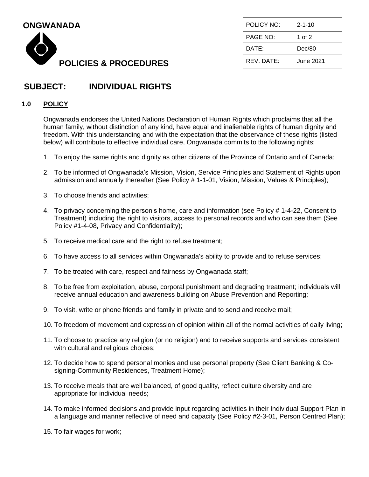



| POLICY NO:            | $2 - 1 - 10$ |
|-----------------------|--------------|
| PAGE NO:              | 1 of 2       |
| DATE:                 | Dec/80       |
| RFV DATF <sup>.</sup> | June 2021.   |

## **SUBJECT: INDIVIDUAL RIGHTS**

### **1.0 POLICY**

Ongwanada endorses the United Nations Declaration of Human Rights which proclaims that all the human family, without distinction of any kind, have equal and inalienable rights of human dignity and freedom. With this understanding and with the expectation that the observance of these rights (listed below) will contribute to effective individual care, Ongwanada commits to the following rights:

- 1. To enjoy the same rights and dignity as other citizens of the Province of Ontario and of Canada;
- 2. To be informed of Ongwanada's Mission, Vision, Service Principles and Statement of Rights upon admission and annually thereafter (See Policy # 1-1-01, Vision, Mission, Values & Principles);
- 3. To choose friends and activities;
- 4. To privacy concerning the person's home, care and information (see Policy # 1-4-22, Consent to Treatment) including the right to visitors, access to personal records and who can see them (See Policy #1-4-08, Privacy and Confidentiality);
- 5. To receive medical care and the right to refuse treatment;
- 6. To have access to all services within Ongwanada's ability to provide and to refuse services;
- 7. To be treated with care, respect and fairness by Ongwanada staff;
- 8. To be free from exploitation, abuse, corporal punishment and degrading treatment; individuals will receive annual education and awareness building on Abuse Prevention and Reporting;
- 9. To visit, write or phone friends and family in private and to send and receive mail;
- 10. To freedom of movement and expression of opinion within all of the normal activities of daily living;
- 11. To choose to practice any religion (or no religion) and to receive supports and services consistent with cultural and religious choices;
- 12. To decide how to spend personal monies and use personal property (See Client Banking & Cosigning-Community Residences, Treatment Home);
- 13. To receive meals that are well balanced, of good quality, reflect culture diversity and are appropriate for individual needs;
- 14. To make informed decisions and provide input regarding activities in their Individual Support Plan in a language and manner reflective of need and capacity (See Policy #2-3-01, Person Centred Plan);
- 15. To fair wages for work;